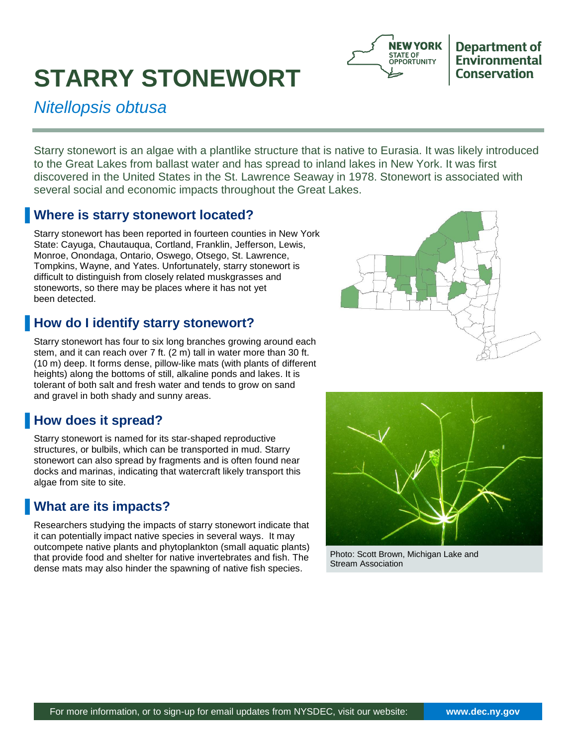# **STARRY STONEWORT**



**Department of** Environmental **Conservation** 

*Nitellopsis obtusa* 

Starry stonewort is an algae with a plantlike structure that is native to Eurasia. It was likely introduced to the Great Lakes from ballast water and has spread to inland lakes in New York. It was first discovered in the United States in the St. Lawrence Seaway in 1978. Stonewort is associated with several social and economic impacts throughout the Great Lakes.

### **K** Where is starry stonewort located?

Starry stonewort has been reported in fourteen counties in New York State: Cayuga, Chautauqua, Cortland, Franklin, Jefferson, Lewis, Monroe, Onondaga, Ontario, Oswego, Otsego, St. Lawrence, Tompkins, Wayne, and Yates. Unfortunately, starry stonewort is difficult to distinguish from closely related muskgrasses and stoneworts, so there may be places where it has not yet been detected.

# **How do I identify starry stonewort?**

Starry stonewort has four to six long branches growing around each stem, and it can reach over 7 ft. (2 m) tall in water more than 30 ft. (10 m) deep. It forms dense, pillow-like mats (with plants of different heights) along the bottoms of still, alkaline ponds and lakes. It is tolerant of both salt and fresh water and tends to grow on sand and gravel in both shady and sunny areas.

## **How does it spread?**

Starry stonewort is named for its star-shaped reproductive structures, or bulbils, which can be transported in mud. Starry stonewort can also spread by fragments and is often found near docks and marinas, indicating that watercraft likely transport this algae from site to site.

# **What are its impacts?**

Researchers studying the impacts of starry stonewort indicate that it can potentially impact native species in several ways. It may outcompete native plants and phytoplankton (small aquatic plants) that provide food and shelter for native invertebrates and fish. The dense mats may also hinder the spawning of native fish species.





Photo: Scott Brown, Michigan Lake and Stream Association